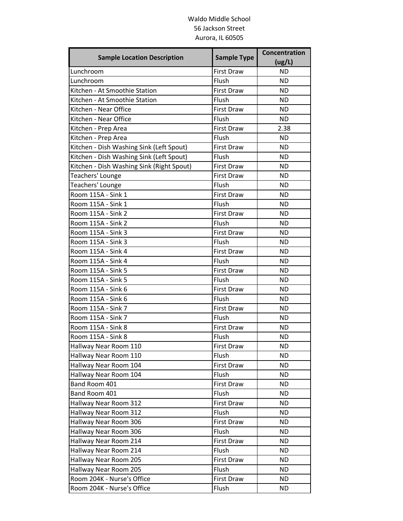## Waldo Middle School 56 Jackson Street Aurora, IL 60505

| <b>Sample Location Description</b>             | <b>Sample Type</b>  | Concentration<br>(ug/L) |
|------------------------------------------------|---------------------|-------------------------|
| Lunchroom                                      | <b>First Draw</b>   | <b>ND</b>               |
| Lunchroom                                      | Flush               | <b>ND</b>               |
| Kitchen - At Smoothie Station                  | <b>First Draw</b>   | <b>ND</b>               |
| Kitchen - At Smoothie Station                  | Flush               | <b>ND</b>               |
| Kitchen - Near Office                          | <b>First Draw</b>   | <b>ND</b>               |
| Kitchen - Near Office                          | Flush               | <b>ND</b>               |
| Kitchen - Prep Area                            | <b>First Draw</b>   | 2.38                    |
| Kitchen - Prep Area                            | Flush               | <b>ND</b>               |
| Kitchen - Dish Washing Sink (Left Spout)       | <b>First Draw</b>   | <b>ND</b>               |
| Kitchen - Dish Washing Sink (Left Spout)       | Flush               | <b>ND</b>               |
| Kitchen - Dish Washing Sink (Right Spout)      | <b>First Draw</b>   | <b>ND</b>               |
| Teachers' Lounge                               | <b>First Draw</b>   | <b>ND</b>               |
| Teachers' Lounge                               | Flush               | <b>ND</b>               |
| Room 115A - Sink 1                             | <b>First Draw</b>   | <b>ND</b>               |
| Room 115A - Sink 1                             | Flush               | <b>ND</b>               |
| Room 115A - Sink 2                             | <b>First Draw</b>   | <b>ND</b>               |
| Room 115A - Sink 2                             | Flush               | <b>ND</b>               |
| Room 115A - Sink 3                             | <b>First Draw</b>   | <b>ND</b>               |
| Room 115A - Sink 3                             | Flush               | <b>ND</b>               |
| Room 115A - Sink 4                             | <b>First Draw</b>   | <b>ND</b>               |
| Room 115A - Sink 4                             | Flush               | <b>ND</b>               |
| Room 115A - Sink 5                             | <b>First Draw</b>   | <b>ND</b>               |
| Room 115A - Sink 5                             | Flush               | <b>ND</b>               |
| Room 115A - Sink 6                             | <b>First Draw</b>   | <b>ND</b>               |
| Room 115A - Sink 6                             | Flush               | <b>ND</b>               |
| Room 115A - Sink 7                             | <b>First Draw</b>   | <b>ND</b>               |
| Room 115A - Sink 7                             | Flush               | <b>ND</b>               |
| Room 115A - Sink 8                             | <b>First Draw</b>   | <b>ND</b>               |
| Room 115A - Sink 8                             | Flush               | ND                      |
| Hallway Near Room 110                          | <b>First Draw</b>   | <b>ND</b>               |
| Hallway Near Room 110                          | Flush               | <b>ND</b>               |
| Hallway Near Room 104                          | First Draw          | <b>ND</b>               |
| Hallway Near Room 104                          | Flush               | <b>ND</b>               |
| Band Room 401                                  | First Draw          | <b>ND</b>               |
| Band Room 401                                  | Flush               | <b>ND</b>               |
| Hallway Near Room 312<br>Hallway Near Room 312 | First Draw<br>Flush | ND<br><b>ND</b>         |
|                                                | First Draw          | <b>ND</b>               |
| Hallway Near Room 306<br>Hallway Near Room 306 | Flush               | <b>ND</b>               |
| Hallway Near Room 214                          | First Draw          | <b>ND</b>               |
| Hallway Near Room 214                          | Flush               | ND                      |
| Hallway Near Room 205                          | First Draw          | <b>ND</b>               |
| Hallway Near Room 205                          | Flush               | <b>ND</b>               |
| Room 204K - Nurse's Office                     | First Draw          | <b>ND</b>               |
| Room 204K - Nurse's Office                     | Flush               | <b>ND</b>               |
|                                                |                     |                         |